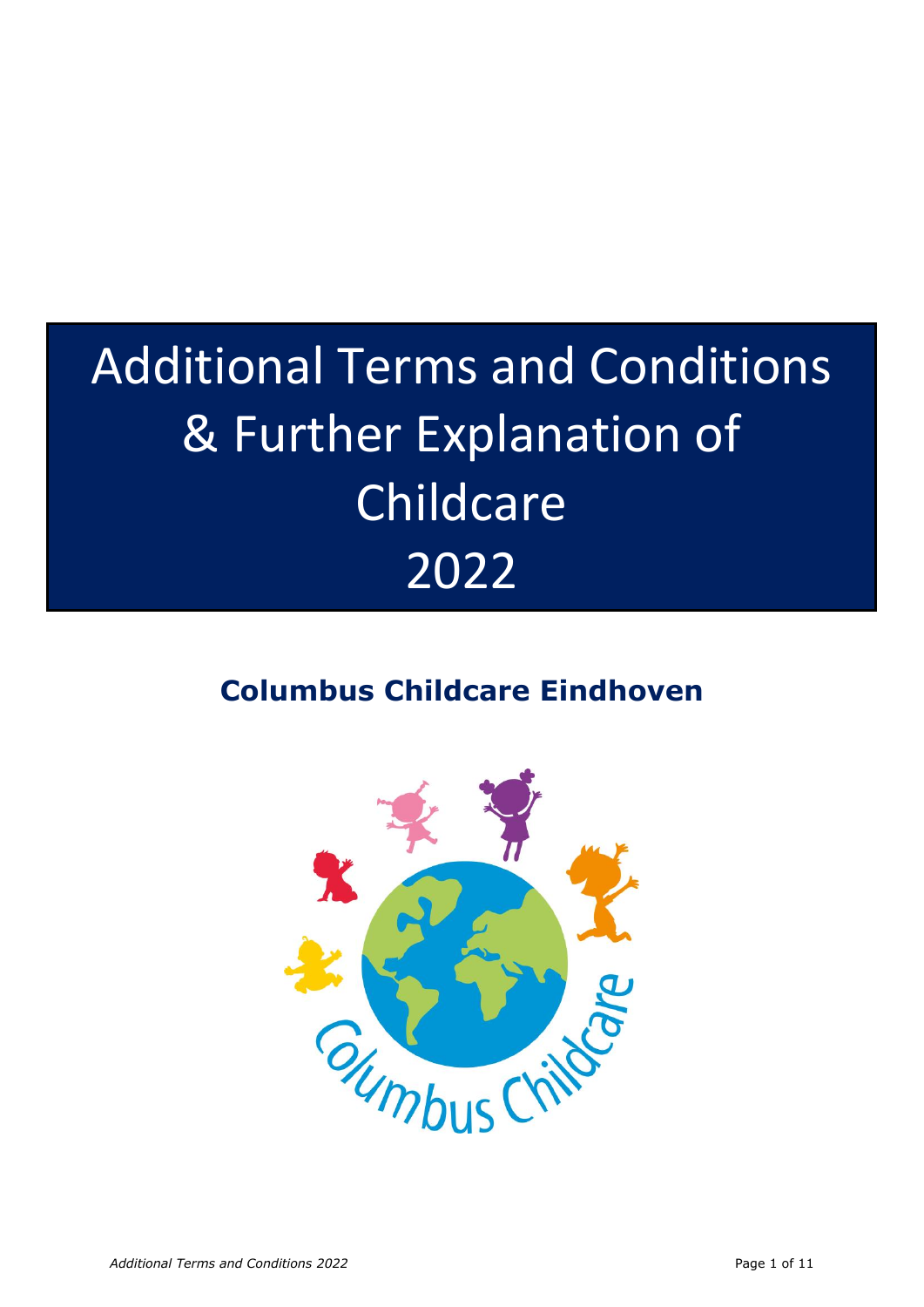# Additional Terms and Conditions & Further Explanation of Childcare 2022

# **Columbus Childcare Eindhoven**

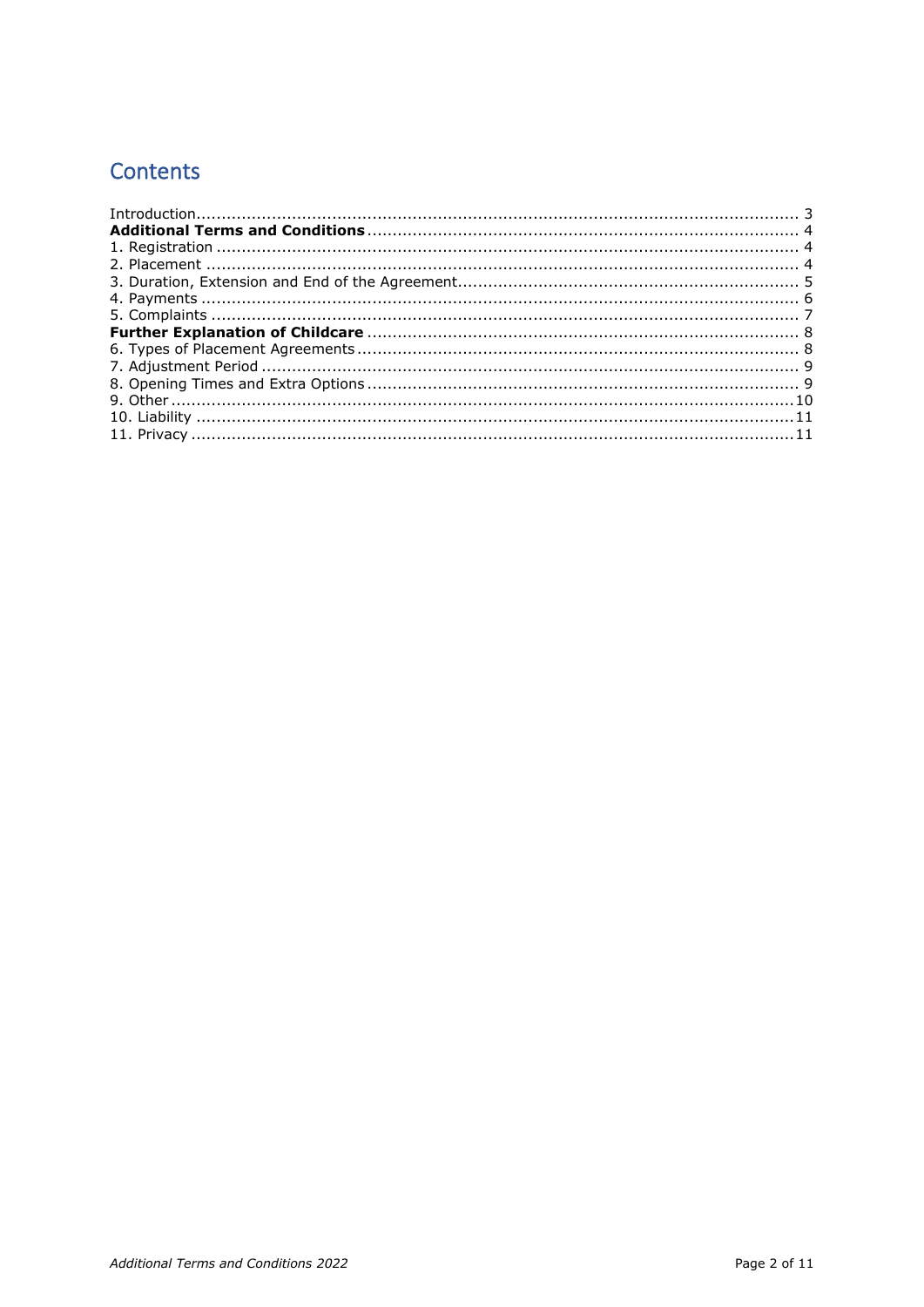# Contents

| $\label{eq:interadd} \begin{minipage}[t]{0.9\linewidth} \begin{minipage}[t]{0.9\linewidth} \begin{minipage}[t]{0.9\linewidth} \begin{minipage}[t]{0.9\linewidth} \begin{minipage}[t]{0.9\linewidth} \end{minipage}[t]{0.9\linewidth} \begin{minipage}[t]{0.9\linewidth} \begin{minipage}[t]{0.9\linewidth} \end{minipage}[t]{0.9\linewidth} \end{minipage}[t]{0.9\linewidth} \begin{minipage}[t]{0.9\linewidth} \begin{minipage}[t]{0.9\linewidth} \end{minipage}[t]{0.9\linewidth} \begin{minipage}[t]{0.9\linewidth} \end$ |  |
|------------------------------------------------------------------------------------------------------------------------------------------------------------------------------------------------------------------------------------------------------------------------------------------------------------------------------------------------------------------------------------------------------------------------------------------------------------------------------------------------------------------------------|--|
|                                                                                                                                                                                                                                                                                                                                                                                                                                                                                                                              |  |
|                                                                                                                                                                                                                                                                                                                                                                                                                                                                                                                              |  |
|                                                                                                                                                                                                                                                                                                                                                                                                                                                                                                                              |  |
|                                                                                                                                                                                                                                                                                                                                                                                                                                                                                                                              |  |
|                                                                                                                                                                                                                                                                                                                                                                                                                                                                                                                              |  |
|                                                                                                                                                                                                                                                                                                                                                                                                                                                                                                                              |  |
|                                                                                                                                                                                                                                                                                                                                                                                                                                                                                                                              |  |
|                                                                                                                                                                                                                                                                                                                                                                                                                                                                                                                              |  |
|                                                                                                                                                                                                                                                                                                                                                                                                                                                                                                                              |  |
|                                                                                                                                                                                                                                                                                                                                                                                                                                                                                                                              |  |
|                                                                                                                                                                                                                                                                                                                                                                                                                                                                                                                              |  |
|                                                                                                                                                                                                                                                                                                                                                                                                                                                                                                                              |  |
|                                                                                                                                                                                                                                                                                                                                                                                                                                                                                                                              |  |
|                                                                                                                                                                                                                                                                                                                                                                                                                                                                                                                              |  |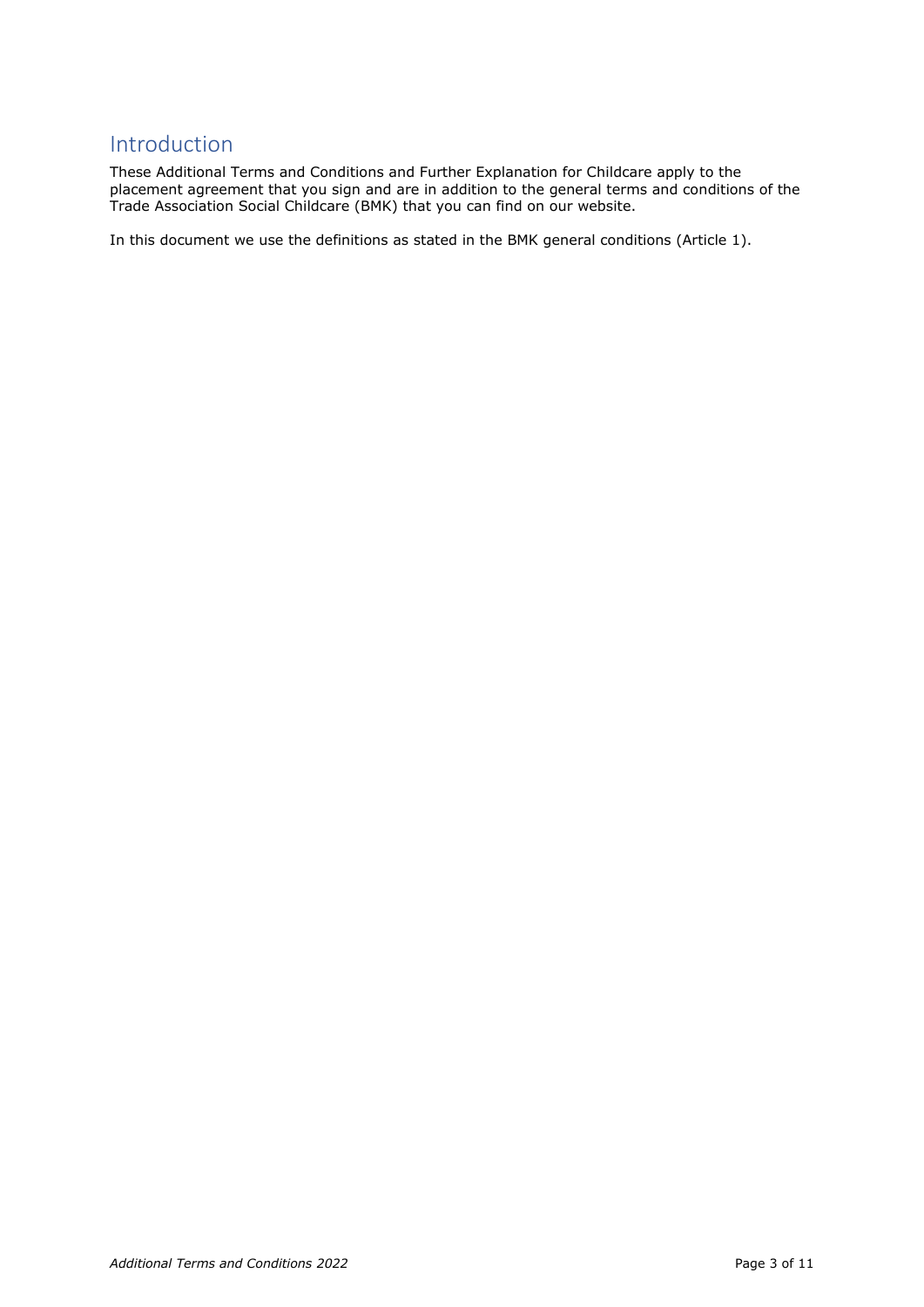# <span id="page-2-0"></span>Introduction

These Additional Terms and Conditions and Further Explanation for Childcare apply to the placement agreement that you sign and are in addition to the general terms and conditions of the Trade Association Social Childcare (BMK) that you can find on our website.

In this document we use the definitions as stated in the BMK general conditions (Article 1).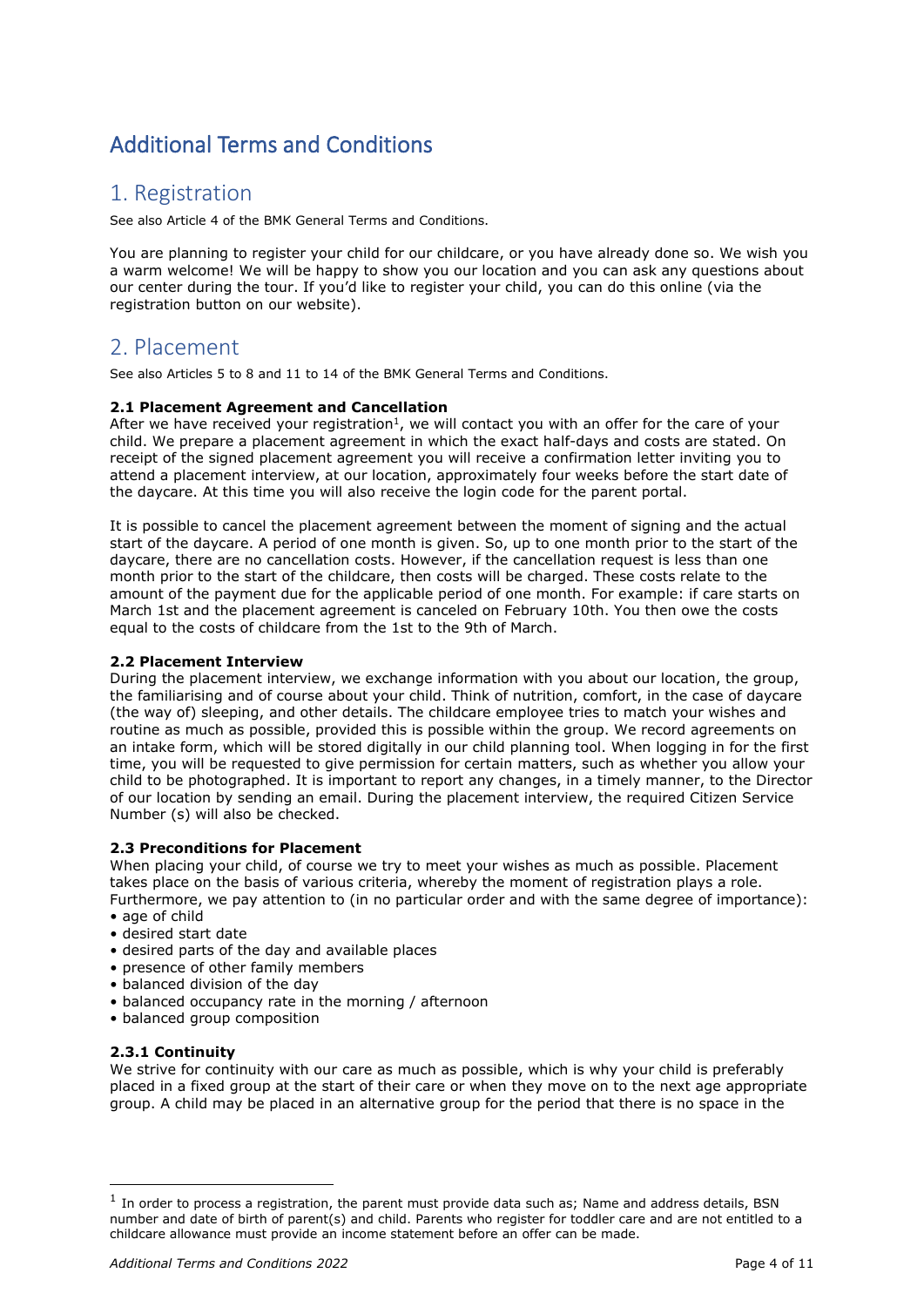# <span id="page-3-0"></span>Additional Terms and Conditions

## <span id="page-3-1"></span>1. Registration

See also Article 4 of the BMK General Terms and Conditions.

You are planning to register your child for our childcare, or you have already done so. We wish you a warm welcome! We will be happy to show you our location and you can ask any questions about our center during the tour. If you'd like to register your child, you can do this online (via the registration button on our website).

# <span id="page-3-2"></span>2. Placement

See also Articles 5 to 8 and 11 to 14 of the BMK General Terms and Conditions.

#### **2.1 Placement Agreement and Cancellation**

After we have received your registration<sup>1</sup>, we will contact you with an offer for the care of your child. We prepare a placement agreement in which the exact half-days and costs are stated. On receipt of the signed placement agreement you will receive a confirmation letter inviting you to attend a placement interview, at our location, approximately four weeks before the start date of the daycare. At this time you will also receive the login code for the parent portal.

It is possible to cancel the placement agreement between the moment of signing and the actual start of the daycare. A period of one month is given. So, up to one month prior to the start of the daycare, there are no cancellation costs. However, if the cancellation request is less than one month prior to the start of the childcare, then costs will be charged. These costs relate to the amount of the payment due for the applicable period of one month. For example: if care starts on March 1st and the placement agreement is canceled on February 10th. You then owe the costs equal to the costs of childcare from the 1st to the 9th of March.

#### **2.2 Placement Interview**

During the placement interview, we exchange information with you about our location, the group, the familiarising and of course about your child. Think of nutrition, comfort, in the case of daycare (the way of) sleeping, and other details. The childcare employee tries to match your wishes and routine as much as possible, provided this is possible within the group. We record agreements on an intake form, which will be stored digitally in our child planning tool. When logging in for the first time, you will be requested to give permission for certain matters, such as whether you allow your child to be photographed. It is important to report any changes, in a timely manner, to the Director of our location by sending an email. During the placement interview, the required Citizen Service Number (s) will also be checked.

#### **2.3 Preconditions for Placement**

When placing your child, of course we try to meet your wishes as much as possible. Placement takes place on the basis of various criteria, whereby the moment of registration plays a role. Furthermore, we pay attention to (in no particular order and with the same degree of importance): • age of child

- desired start date
- desired parts of the day and available places
- presence of other family members
- balanced division of the day
- balanced occupancy rate in the morning / afternoon
- balanced group composition

#### **2.3.1 Continuity**

We strive for continuity with our care as much as possible, which is why your child is preferably placed in a fixed group at the start of their care or when they move on to the next age appropriate group. A child may be placed in an alternative group for the period that there is no space in the

 $<sup>1</sup>$  In order to process a registration, the parent must provide data such as; Name and address details, BSN</sup> number and date of birth of parent(s) and child. Parents who register for toddler care and are not entitled to a childcare allowance must provide an income statement before an offer can be made.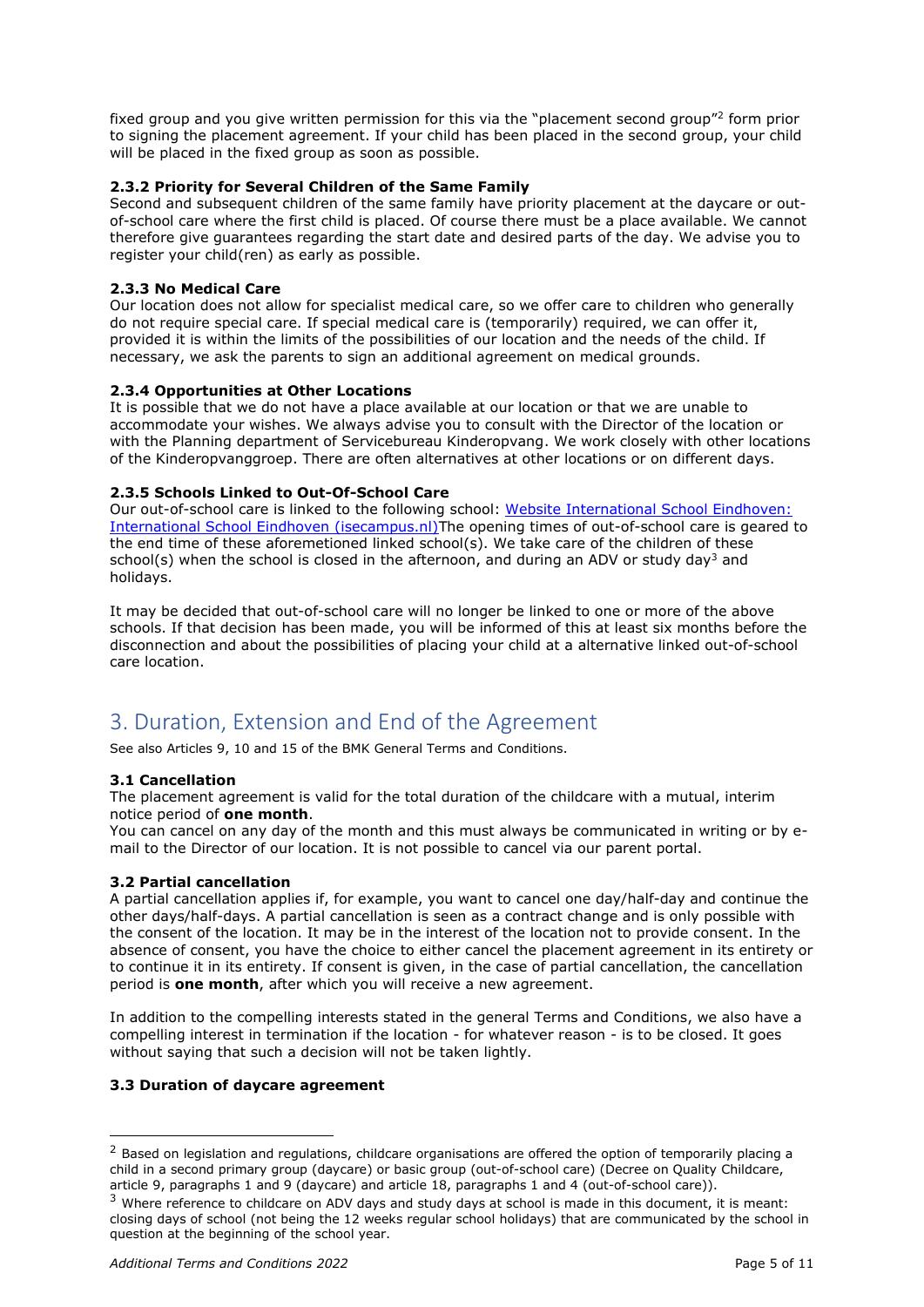fixed group and you give written permission for this via the "placement second group"<sup>2</sup> form prior to signing the placement agreement. If your child has been placed in the second group, your child will be placed in the fixed group as soon as possible.

#### **2.3.2 Priority for Several Children of the Same Family**

Second and subsequent children of the same family have priority placement at the daycare or outof-school care where the first child is placed. Of course there must be a place available. We cannot therefore give guarantees regarding the start date and desired parts of the day. We advise you to register your child(ren) as early as possible.

#### **2.3.3 No Medical Care**

Our location does not allow for specialist medical care, so we offer care to children who generally do not require special care. If special medical care is (temporarily) required, we can offer it, provided it is within the limits of the possibilities of our location and the needs of the child. If necessary, we ask the parents to sign an additional agreement on medical grounds.

#### **2.3.4 Opportunities at Other Locations**

It is possible that we do not have a place available at our location or that we are unable to accommodate your wishes. We always advise you to consult with the Director of the location or with the Planning department of Servicebureau Kinderopvang. We work closely with other locations of the Kinderopvanggroep. There are often alternatives at other locations or on different days.

#### **2.3.5 Schools Linked to Out-Of-School Care**

Our out-of-school care is linked to the following school: [Website International School Eindhoven:](https://isecampus.nl/)  [International School Eindhoven \(isecampus.nl\)T](https://isecampus.nl/)he opening times of out-of-school care is geared to the end time of these aforemetioned linked school(s). We take care of the children of these school(s) when the school is closed in the afternoon, and during an ADV or study day<sup>3</sup> and holidays.

It may be decided that out-of-school care will no longer be linked to one or more of the above schools. If that decision has been made, you will be informed of this at least six months before the disconnection and about the possibilities of placing your child at a alternative linked out-of-school care location.

# <span id="page-4-0"></span>3. Duration, Extension and End of the Agreement

See also Articles 9, 10 and 15 of the BMK General Terms and Conditions.

#### **3.1 Cancellation**

The placement agreement is valid for the total duration of the childcare with a mutual, interim notice period of **one month**.

You can cancel on any day of the month and this must always be communicated in writing or by email to the Director of our location. It is not possible to cancel via our parent portal.

#### **3.2 Partial cancellation**

A partial cancellation applies if, for example, you want to cancel one day/half-day and continue the other days/half-days. A partial cancellation is seen as a contract change and is only possible with the consent of the location. It may be in the interest of the location not to provide consent. In the absence of consent, you have the choice to either cancel the placement agreement in its entirety or to continue it in its entirety. If consent is given, in the case of partial cancellation, the cancellation period is **one month**, after which you will receive a new agreement.

In addition to the compelling interests stated in the general Terms and Conditions, we also have a compelling interest in termination if the location - for whatever reason - is to be closed. It goes without saying that such a decision will not be taken lightly.

#### **3.3 Duration of daycare agreement**

<sup>&</sup>lt;sup>2</sup> Based on legislation and regulations, childcare organisations are offered the option of temporarily placing a child in a second primary group (daycare) or basic group (out-of-school care) (Decree on Quality Childcare, article 9, paragraphs 1 and 9 (daycare) and article 18, paragraphs 1 and 4 (out-of-school care)).

<sup>&</sup>lt;sup>3</sup> Where reference to childcare on ADV days and study days at school is made in this document, it is meant: closing days of school (not being the 12 weeks regular school holidays) that are communicated by the school in question at the beginning of the school year.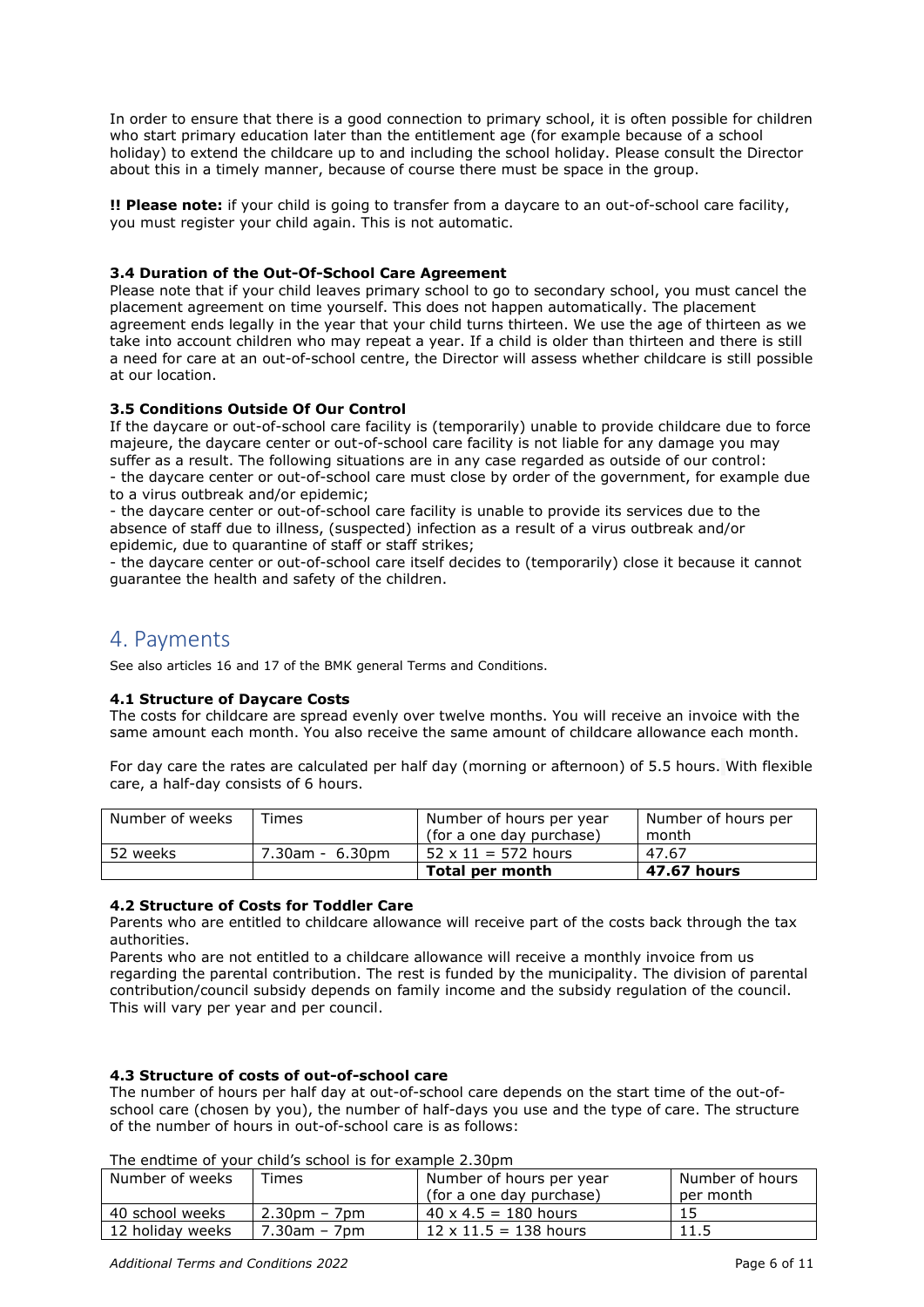In order to ensure that there is a good connection to primary school, it is often possible for children who start primary education later than the entitlement age (for example because of a school holiday) to extend the childcare up to and including the school holiday. Please consult the Director about this in a timely manner, because of course there must be space in the group.

**!! Please note:** if your child is going to transfer from a daycare to an out-of-school care facility, you must register your child again. This is not automatic.

#### **3.4 Duration of the Out-Of-School Care Agreement**

Please note that if your child leaves primary school to go to secondary school, you must cancel the placement agreement on time yourself. This does not happen automatically. The placement agreement ends legally in the year that your child turns thirteen. We use the age of thirteen as we take into account children who may repeat a year. If a child is older than thirteen and there is still a need for care at an out-of-school centre, the Director will assess whether childcare is still possible at our location.

#### **3.5 Conditions Outside Of Our Control**

If the daycare or out-of-school care facility is (temporarily) unable to provide childcare due to force majeure, the daycare center or out-of-school care facility is not liable for any damage you may suffer as a result. The following situations are in any case regarded as outside of our control: - the daycare center or out-of-school care must close by order of the government, for example due to a virus outbreak and/or epidemic;

- the daycare center or out-of-school care facility is unable to provide its services due to the absence of staff due to illness, (suspected) infection as a result of a virus outbreak and/or epidemic, due to quarantine of staff or staff strikes;

- the daycare center or out-of-school care itself decides to (temporarily) close it because it cannot guarantee the health and safety of the children.

## <span id="page-5-0"></span>4. Payments

See also articles 16 and 17 of the BMK general Terms and Conditions.

#### **4.1 Structure of Daycare Costs**

The costs for childcare are spread evenly over twelve months. You will receive an invoice with the same amount each month. You also receive the same amount of childcare allowance each month.

For day care the rates are calculated per half day (morning or afternoon) of 5.5 hours. With flexible care, a half-day consists of 6 hours.

| Number of weeks | Times           | Number of hours per year   | Number of hours per |
|-----------------|-----------------|----------------------------|---------------------|
|                 |                 | (for a one day purchase)   | month               |
| 52 weeks        | 7.30am - 6.30pm | $52 \times 11 = 572$ hours | 47.67               |
|                 |                 | Total per month            | 47.67 hours         |

#### **4.2 Structure of Costs for Toddler Care**

Parents who are entitled to childcare allowance will receive part of the costs back through the tax authorities.

Parents who are not entitled to a childcare allowance will receive a monthly invoice from us regarding the parental contribution. The rest is funded by the municipality. The division of parental contribution/council subsidy depends on family income and the subsidy regulation of the council. This will vary per year and per council.

#### **4.3 Structure of costs of out-of-school care**

The number of hours per half day at out-of-school care depends on the start time of the out-ofschool care (chosen by you), the number of half-days you use and the type of care. The structure of the number of hours in out-of-school care is as follows:

#### The endtime of your child's school is for example 2.30pm

| Number of weeks  | $T$ imes            | Number of hours per year     | Number of hours |
|------------------|---------------------|------------------------------|-----------------|
|                  |                     | (for a one day purchase)     | per month       |
| 40 school weeks  | $2.30pm - 7pm$      | $40 \times 4.5 = 180$ hours  |                 |
| 12 holiday weeks | $7.30$ am – 7 $p$ m | $12 \times 11.5 = 138$ hours | 11.5            |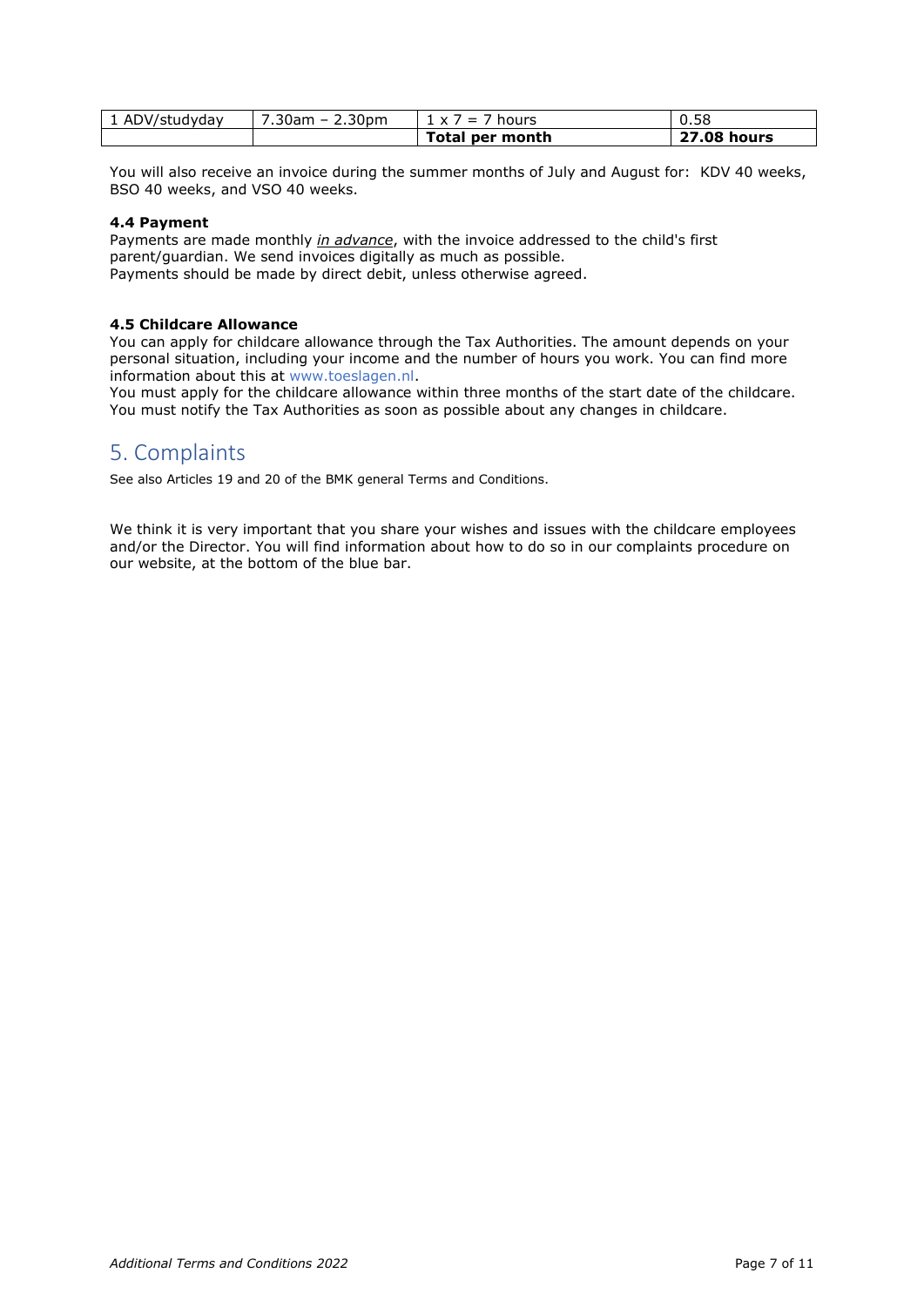| 1 ADV/studyday | 7.30am – 2.30pm | $1 \times 7 = 7$ hours | 0.58               |
|----------------|-----------------|------------------------|--------------------|
|                |                 | Total per month        | <b>27.08 hours</b> |

You will also receive an invoice during the summer months of July and August for: KDV 40 weeks, BSO 40 weeks, and VSO 40 weeks.

#### **4.4 Payment**

Payments are made monthly *in advance*, with the invoice addressed to the child's first parent/guardian. We send invoices digitally as much as possible. Payments should be made by direct debit, unless otherwise agreed.

#### **4.5 Childcare Allowance**

You can apply for childcare allowance through the Tax Authorities. The amount depends on your personal situation, including your income and the number of hours you work. You can find more information about this at www.toeslagen.nl.

You must apply for the childcare allowance within three months of the start date of the childcare. You must notify the Tax Authorities as soon as possible about any changes in childcare.

## <span id="page-6-0"></span>5. Complaints

See also Articles 19 and 20 of the BMK general Terms and Conditions.

We think it is very important that you share your wishes and issues with the childcare employees and/or the Director. You will find information about how to do so in our complaints procedure on our website, at the bottom of the blue bar.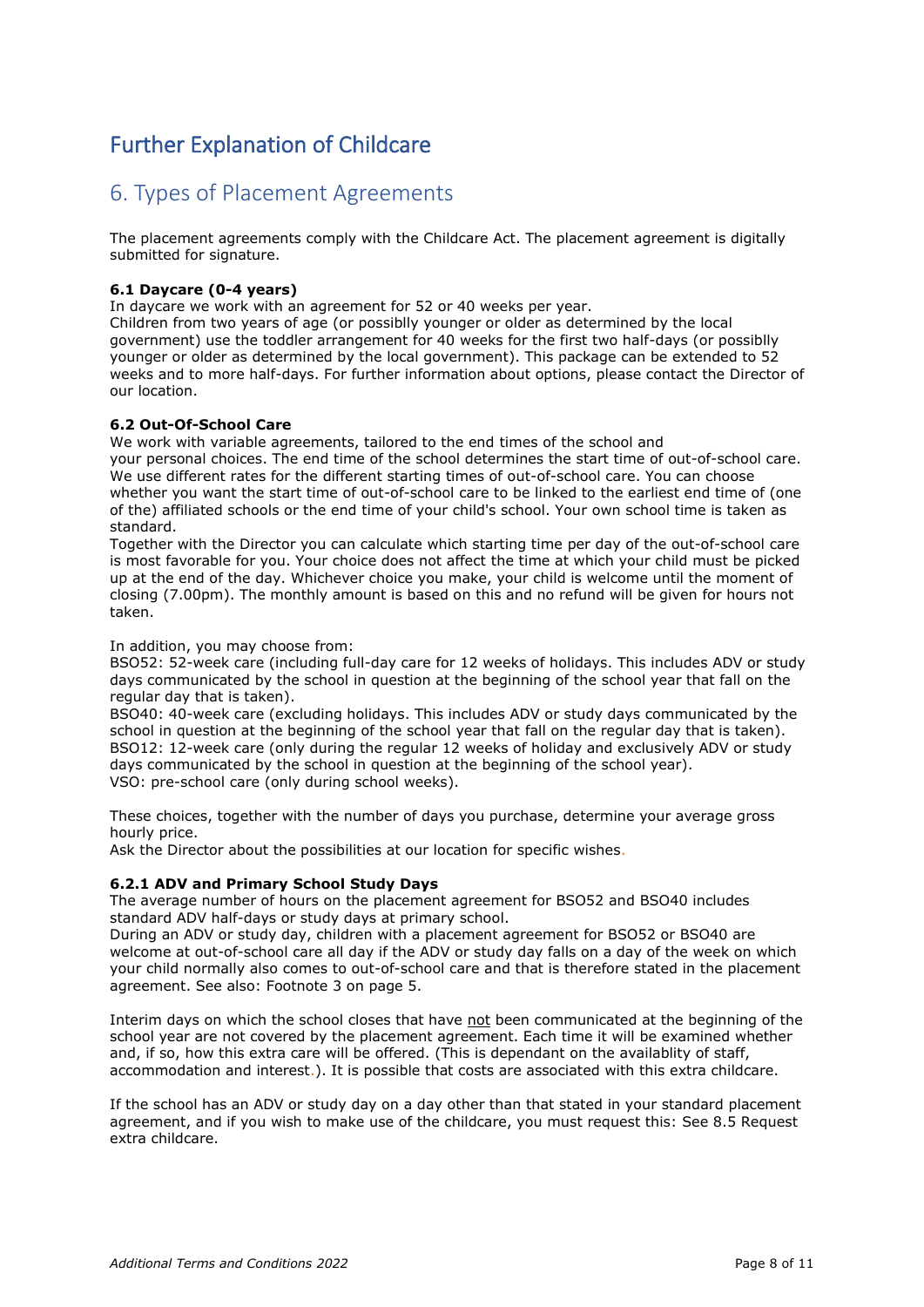# <span id="page-7-0"></span>Further Explanation of Childcare

# <span id="page-7-1"></span>6. Types of Placement Agreements

The placement agreements comply with the Childcare Act. The placement agreement is digitally submitted for signature.

#### **6.1 Daycare (0-4 years)**

In daycare we work with an agreement for 52 or 40 weeks per year.

Children from two years of age (or possiblly younger or older as determined by the local government) use the toddler arrangement for 40 weeks for the first two half-days (or possiblly younger or older as determined by the local government). This package can be extended to 52 weeks and to more half-days. For further information about options, please contact the Director of our location.

#### **6.2 Out-Of-School Care**

We work with variable agreements, tailored to the end times of the school and your personal choices. The end time of the school determines the start time of out-of-school care. We use different rates for the different starting times of out-of-school care. You can choose whether you want the start time of out-of-school care to be linked to the earliest end time of (one of the) affiliated schools or the end time of your child's school. Your own school time is taken as standard.

Together with the Director you can calculate which starting time per day of the out-of-school care is most favorable for you. Your choice does not affect the time at which your child must be picked up at the end of the day. Whichever choice you make, your child is welcome until the moment of closing (7.00pm). The monthly amount is based on this and no refund will be given for hours not taken.

In addition, you may choose from:

BSO52: 52-week care (including full-day care for 12 weeks of holidays. This includes ADV or study days communicated by the school in question at the beginning of the school year that fall on the regular day that is taken).

BSO40: 40-week care (excluding holidays. This includes ADV or study days communicated by the school in question at the beginning of the school year that fall on the regular day that is taken). BSO12: 12-week care (only during the regular 12 weeks of holiday and exclusively ADV or study days communicated by the school in question at the beginning of the school year). VSO: pre-school care (only during school weeks).

These choices, together with the number of days you purchase, determine your average gross hourly price.

Ask the Director about the possibilities at our location for specific wishes.

#### **6.2.1 ADV and Primary School Study Days**

The average number of hours on the placement agreement for BSO52 and BSO40 includes standard ADV half-days or study days at primary school.

During an ADV or study day, children with a placement agreement for BSO52 or BSO40 are welcome at out-of-school care all day if the ADV or study day falls on a day of the week on which your child normally also comes to out-of-school care and that is therefore stated in the placement agreement. See also: Footnote 3 on page 5.

Interim days on which the school closes that have not been communicated at the beginning of the school year are not covered by the placement agreement. Each time it will be examined whether and, if so, how this extra care will be offered. (This is dependant on the availablity of staff, accommodation and interest.). It is possible that costs are associated with this extra childcare.

If the school has an ADV or study day on a day other than that stated in your standard placement agreement, and if you wish to make use of the childcare, you must request this: See 8.5 Request extra childcare.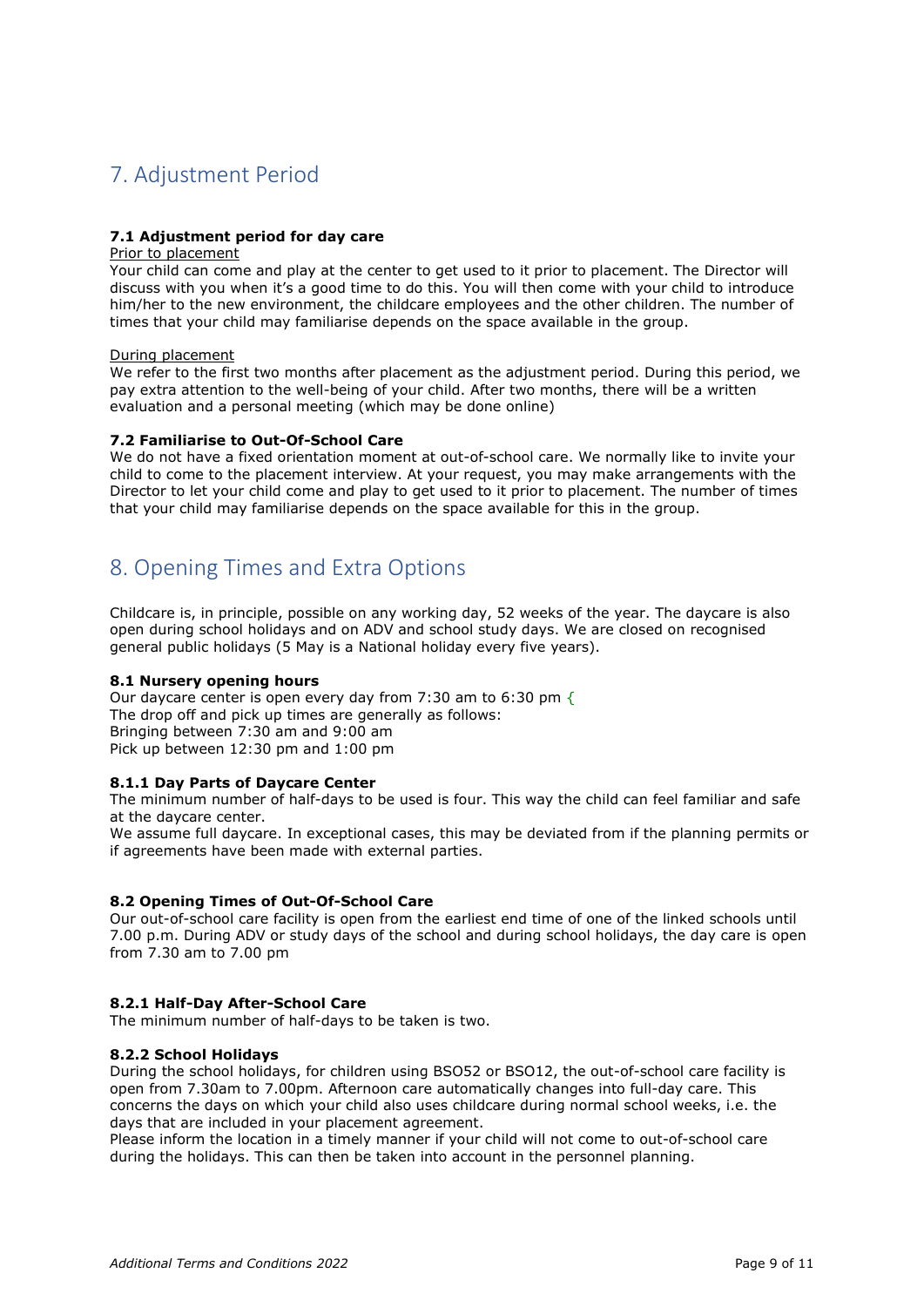# <span id="page-8-0"></span>7. Adjustment Period

#### **7.1 Adjustment period for day care**

#### Prior to placement

Your child can come and play at the center to get used to it prior to placement. The Director will discuss with you when it's a good time to do this. You will then come with your child to introduce him/her to the new environment, the childcare employees and the other children. The number of times that your child may familiarise depends on the space available in the group.

#### During placement

We refer to the first two months after placement as the adjustment period. During this period, we pay extra attention to the well-being of your child. After two months, there will be a written evaluation and a personal meeting (which may be done online)

#### **7.2 Familiarise to Out-Of-School Care**

We do not have a fixed orientation moment at out-of-school care. We normally like to invite your child to come to the placement interview. At your request, you may make arrangements with the Director to let your child come and play to get used to it prior to placement. The number of times that your child may familiarise depends on the space available for this in the group.

# <span id="page-8-1"></span>8. Opening Times and Extra Options

Childcare is, in principle, possible on any working day, 52 weeks of the year. The daycare is also open during school holidays and on ADV and school study days. We are closed on recognised general public holidays (5 May is a National holiday every five years).

#### **8.1 Nursery opening hours**

Our daycare center is open every day from 7:30 am to 6:30 pm  $\{$ The drop off and pick up times are generally as follows: Bringing between 7:30 am and 9:00 am Pick up between 12:30 pm and 1:00 pm

#### **8.1.1 Day Parts of Daycare Center**

The minimum number of half-days to be used is four. This way the child can feel familiar and safe at the daycare center.

We assume full daycare. In exceptional cases, this may be deviated from if the planning permits or if agreements have been made with external parties.

#### **8.2 Opening Times of Out-Of-School Care**

Our out-of-school care facility is open from the earliest end time of one of the linked schools until 7.00 p.m. During ADV or study days of the school and during school holidays, the day care is open from 7.30 am to 7.00 pm

#### **8.2.1 Half-Day After-School Care**

The minimum number of half-days to be taken is two.

#### **8.2.2 School Holidays**

During the school holidays, for children using BSO52 or BSO12, the out-of-school care facility is open from 7.30am to 7.00pm. Afternoon care automatically changes into full-day care. This concerns the days on which your child also uses childcare during normal school weeks, i.e. the days that are included in your placement agreement.

Please inform the location in a timely manner if your child will not come to out-of-school care during the holidays. This can then be taken into account in the personnel planning.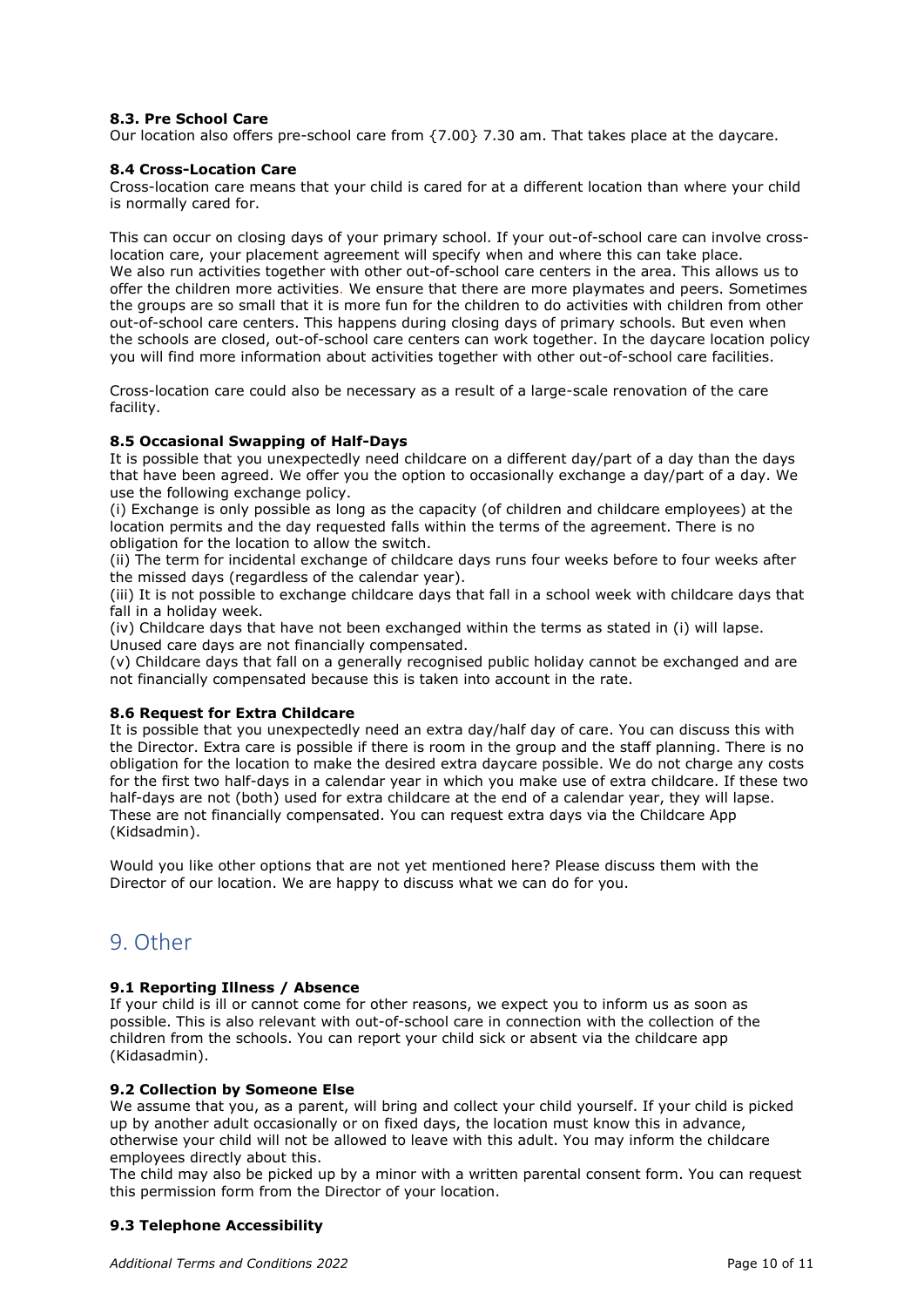#### **8.3. Pre School Care**

Our location also offers pre-school care from {7.00} 7.30 am. That takes place at the daycare.

#### **8.4 Cross-Location Care**

Cross-location care means that your child is cared for at a different location than where your child is normally cared for.

This can occur on closing days of your primary school. If your out-of-school care can involve crosslocation care, your placement agreement will specify when and where this can take place. We also run activities together with other out-of-school care centers in the area. This allows us to offer the children more activities. We ensure that there are more playmates and peers. Sometimes the groups are so small that it is more fun for the children to do activities with children from other out-of-school care centers. This happens during closing days of primary schools. But even when the schools are closed, out-of-school care centers can work together. In the daycare location policy you will find more information about activities together with other out-of-school care facilities.

Cross-location care could also be necessary as a result of a large-scale renovation of the care facility.

#### **8.5 Occasional Swapping of Half-Days**

It is possible that you unexpectedly need childcare on a different day/part of a day than the days that have been agreed. We offer you the option to occasionally exchange a day/part of a day. We use the following exchange policy.

(i) Exchange is only possible as long as the capacity (of children and childcare employees) at the location permits and the day requested falls within the terms of the agreement. There is no obligation for the location to allow the switch.

(ii) The term for incidental exchange of childcare days runs four weeks before to four weeks after the missed days (regardless of the calendar year).

(iii) It is not possible to exchange childcare days that fall in a school week with childcare days that fall in a holiday week.

(iv) Childcare days that have not been exchanged within the terms as stated in (i) will lapse. Unused care days are not financially compensated.

(v) Childcare days that fall on a generally recognised public holiday cannot be exchanged and are not financially compensated because this is taken into account in the rate.

#### **8.6 Request for Extra Childcare**

It is possible that you unexpectedly need an extra day/half day of care. You can discuss this with the Director. Extra care is possible if there is room in the group and the staff planning. There is no obligation for the location to make the desired extra daycare possible. We do not charge any costs for the first two half-days in a calendar year in which you make use of extra childcare. If these two half-days are not (both) used for extra childcare at the end of a calendar year, they will lapse. These are not financially compensated. You can request extra days via the Childcare App (Kidsadmin).

Would you like other options that are not yet mentioned here? Please discuss them with the Director of our location. We are happy to discuss what we can do for you.

## <span id="page-9-0"></span>9. Other

#### **9.1 Reporting Illness / Absence**

If your child is ill or cannot come for other reasons, we expect you to inform us as soon as possible. This is also relevant with out-of-school care in connection with the collection of the children from the schools. You can report your child sick or absent via the childcare app (Kidasadmin).

#### **9.2 Collection by Someone Else**

We assume that you, as a parent, will bring and collect your child yourself. If your child is picked up by another adult occasionally or on fixed days, the location must know this in advance, otherwise your child will not be allowed to leave with this adult. You may inform the childcare employees directly about this.

The child may also be picked up by a minor with a written parental consent form. You can request this permission form from the Director of your location.

#### **9.3 Telephone Accessibility**